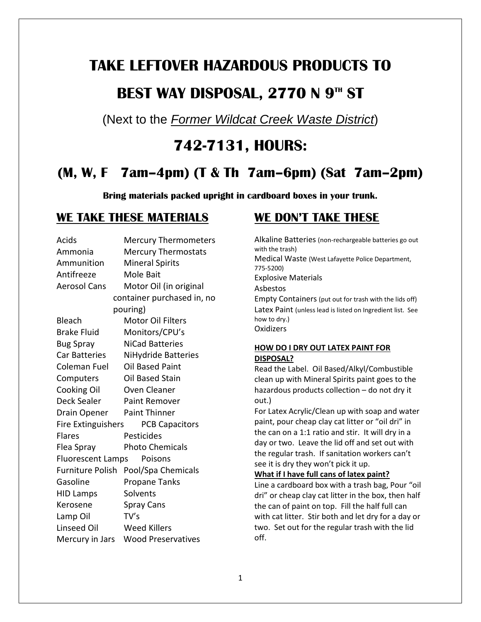# **TAKE LEFTOVER HAZARDOUS PRODUCTS TO**

# **BEST WAY DISPOSAL, 2770 N 9TH ST**

(Next to the *Former Wildcat Creek Waste District*)

# **742-7131, HOURS:**

# **(M, W, F 7am–4pm) (T & Th 7am–6pm) (Sat 7am–2pm)**

**Bring materials packed upright in cardboard boxes in your trunk.**

#### **WE TAKE THESE MATERIALS**

| Acids                     | <b>Mercury Thermometers</b> |
|---------------------------|-----------------------------|
| Ammonia                   | <b>Mercury Thermostats</b>  |
| Ammunition                | <b>Mineral Spirits</b>      |
| Antifreeze                | Mole Bait                   |
| <b>Aerosol Cans</b>       | Motor Oil (in original      |
|                           | container purchased in, no  |
| pouring)                  |                             |
| Bleach                    | <b>Motor Oil Filters</b>    |
| <b>Brake Fluid</b>        | Monitors/CPU's              |
| <b>Bug Spray</b>          | <b>NiCad Batteries</b>      |
| <b>Car Batteries</b>      | NiHydride Batteries         |
| Coleman Fuel              | <b>Oil Based Paint</b>      |
| Computers                 | Oil Based Stain             |
| Cooking Oil               | Oven Cleaner                |
| <b>Deck Sealer</b>        | <b>Paint Remover</b>        |
| Drain Opener              | <b>Paint Thinner</b>        |
| <b>Fire Extinguishers</b> | <b>PCB Capacitors</b>       |
| <b>Flares</b>             | Pesticides                  |
| Flea Spray                | <b>Photo Chemicals</b>      |
| <b>Fluorescent Lamps</b>  | Poisons                     |
| Furniture Polish          | Pool/Spa Chemicals          |
| Gasoline                  | Propane Tanks               |
| <b>HID Lamps</b>          | Solvents                    |
| Kerosene                  | <b>Spray Cans</b>           |
| Lamp Oil                  | TV's                        |
| Linseed Oil               | <b>Weed Killers</b>         |
| Mercury in Jars           | <b>Wood Preservatives</b>   |

## **WE DON'T TAKE THESE**

Alkaline Batteries (non-rechargeable batteries go out with the trash) Medical Waste (West Lafayette Police Department, 775-5200) Explosive Materials Asbestos Empty Containers (put out for trash with the lids off) Latex Paint (unless lead is listed on Ingredient list. See how to dry.) **Oxidizers** 

#### **HOW DO I DRY OUT LATEX PAINT FOR DISPOSAL?**

Read the Label. Oil Based/Alkyl/Combustible clean up with Mineral Spirits paint goes to the hazardous products collection – do not dry it out.)

For Latex Acrylic/Clean up with soap and water paint, pour cheap clay cat litter or "oil dri" in the can on a 1:1 ratio and stir. It will dry in a day or two. Leave the lid off and set out with the regular trash. If sanitation workers can't see it is dry they won't pick it up.

#### **What if I have full cans of latex paint?**

Line a cardboard box with a trash bag, Pour "oil dri" or cheap clay cat litter in the box, then half the can of paint on top. Fill the half full can with cat litter. Stir both and let dry for a day or two. Set out for the regular trash with the lid off.